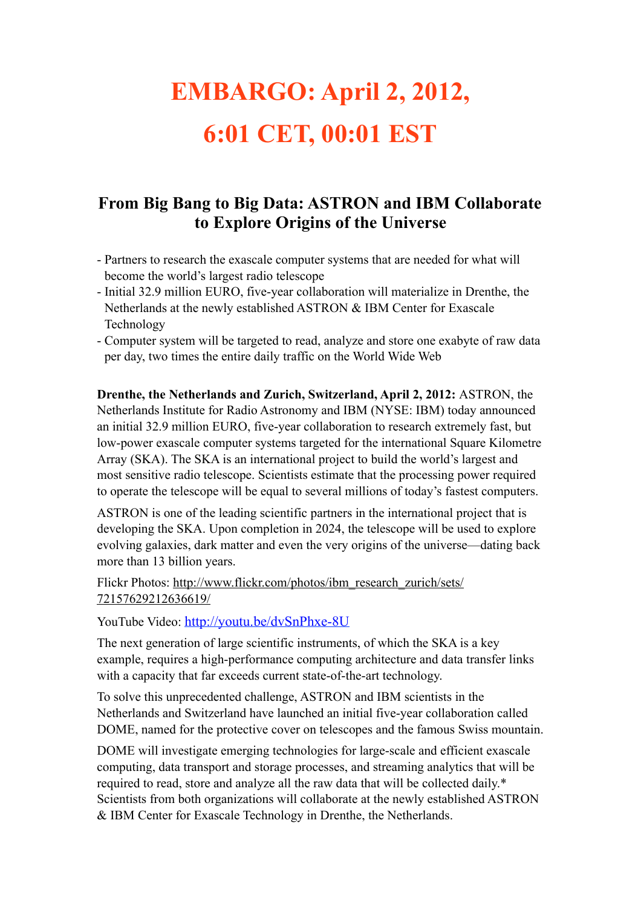# **EMBARGO: April 2, 2012, 6:01 CET, 00:01 EST**

# **From Big Bang to Big Data: ASTRON and IBM Collaborate to Explore Origins of the Universe**

- Partners to research the exascale computer systems that are needed for what will become the world's largest radio telescope
- Initial 32.9 million EURO, five-year collaboration will materialize in Drenthe, the Netherlands at the newly established ASTRON & IBM Center for Exascale Technology
- Computer system will be targeted to read, analyze and store one exabyte of raw data per day, two times the entire daily traffic on the World Wide Web

**Drenthe, the Netherlands and Zurich, Switzerland, April 2, 2012:** ASTRON, the Netherlands Institute for Radio Astronomy and IBM (NYSE: IBM) today announced an initial 32.9 million EURO, five-year collaboration to research extremely fast, but low-power exascale computer systems targeted for the international Square Kilometre Array (SKA). The SKA is an international project to build the world's largest and most sensitive radio telescope. Scientists estimate that the processing power required to operate the telescope will be equal to several millions of today's fastest computers.

ASTRON is one of the leading scientific partners in the international project that is developing the SKA. Upon completion in 2024, the telescope will be used to explore evolving galaxies, dark matter and even the very origins of the universe—dating back more than 13 billion years.

Flickr Photos: [http://www.flickr.com/photos/ibm\\_research\\_zurich/sets/](http://www.flickr.com/photos/squarekilometrearray/sets/) [72157629212636619/](http://www.flickr.com/photos/squarekilometrearray/sets/)

YouTube Video: http://youtu.be/dvSnPhxe-8U

The next generation of large scientific instruments, of which the SKA is a key example, requires a high-performance computing architecture and data transfer links with a capacity that far exceeds current state-of-the-art technology.

To solve this unprecedented challenge, ASTRON and IBM scientists in the Netherlands and Switzerland have launched an initial five-year collaboration called DOME, named for the protective cover on telescopes and the famous Swiss mountain.

DOME will investigate emerging technologies for large-scale and efficient exascale computing, data transport and storage processes, and streaming analytics that will be required to read, store and analyze all the raw data that will be collected daily.\* Scientists from both organizations will collaborate at the newly established ASTRON & IBM Center for Exascale Technology in Drenthe, the Netherlands.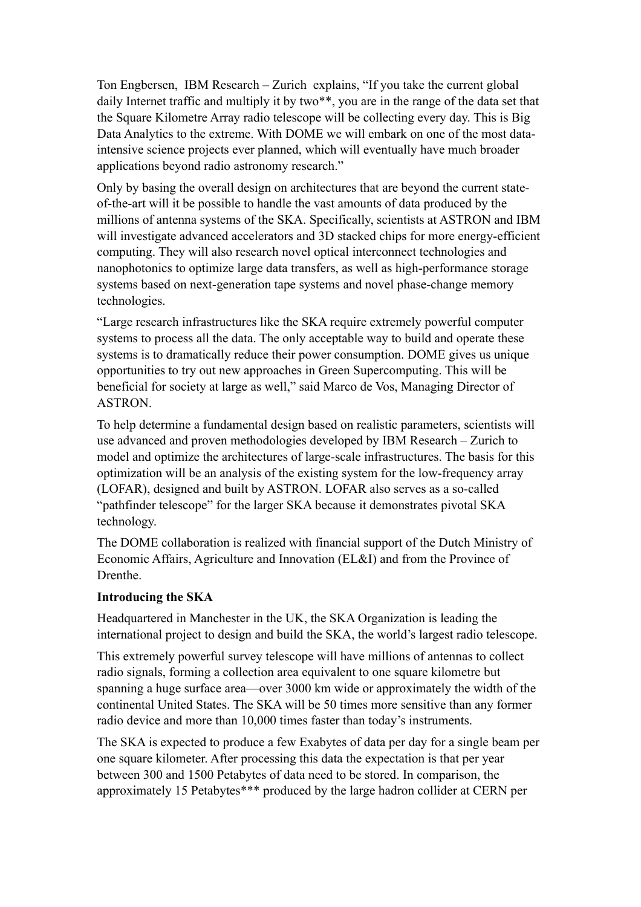Ton Engbersen, IBM Research – Zurich explains, "If you take the current global daily Internet traffic and multiply it by two\*\*, you are in the range of the data set that the Square Kilometre Array radio telescope will be collecting every day. This is Big Data Analytics to the extreme. With DOME we will embark on one of the most dataintensive science projects ever planned, which will eventually have much broader applications beyond radio astronomy research."

Only by basing the overall design on architectures that are beyond the current stateof-the-art will it be possible to handle the vast amounts of data produced by the millions of antenna systems of the SKA. Specifically, scientists at ASTRON and IBM will investigate advanced accelerators and 3D stacked chips for more energy-efficient computing. They will also research novel optical interconnect technologies and nanophotonics to optimize large data transfers, as well as high-performance storage systems based on next-generation tape systems and novel phase-change memory technologies.

"Large research infrastructures like the SKA require extremely powerful computer systems to process all the data. The only acceptable way to build and operate these systems is to dramatically reduce their power consumption. DOME gives us unique opportunities to try out new approaches in Green Supercomputing. This will be beneficial for society at large as well," said Marco de Vos, Managing Director of ASTRON.

To help determine a fundamental design based on realistic parameters, scientists will use advanced and proven methodologies developed by IBM Research – Zurich to model and optimize the architectures of large-scale infrastructures. The basis for this optimization will be an analysis of the existing system for the low-frequency array (LOFAR), designed and built by ASTRON. LOFAR also serves as a so-called "pathfinder telescope" for the larger SKA because it demonstrates pivotal SKA technology.

The DOME collaboration is realized with financial support of the Dutch Ministry of Economic Affairs, Agriculture and Innovation (EL&I) and from the Province of Drenthe.

### **Introducing the SKA**

Headquartered in Manchester in the UK, the SKA Organization is leading the international project to design and build the SKA, the world's largest radio telescope.

This extremely powerful survey telescope will have millions of antennas to collect radio signals, forming a collection area equivalent to one square kilometre but spanning a huge surface area—over 3000 km wide or approximately the width of the continental United States. The SKA will be 50 times more sensitive than any former radio device and more than 10,000 times faster than today's instruments.

The SKA is expected to produce a few Exabytes of data per day for a single beam per one square kilometer. After processing this data the expectation is that per year between 300 and 1500 Petabytes of data need to be stored. In comparison, the approximately 15 Petabytes\*\*\* produced by the large hadron collider at CERN per